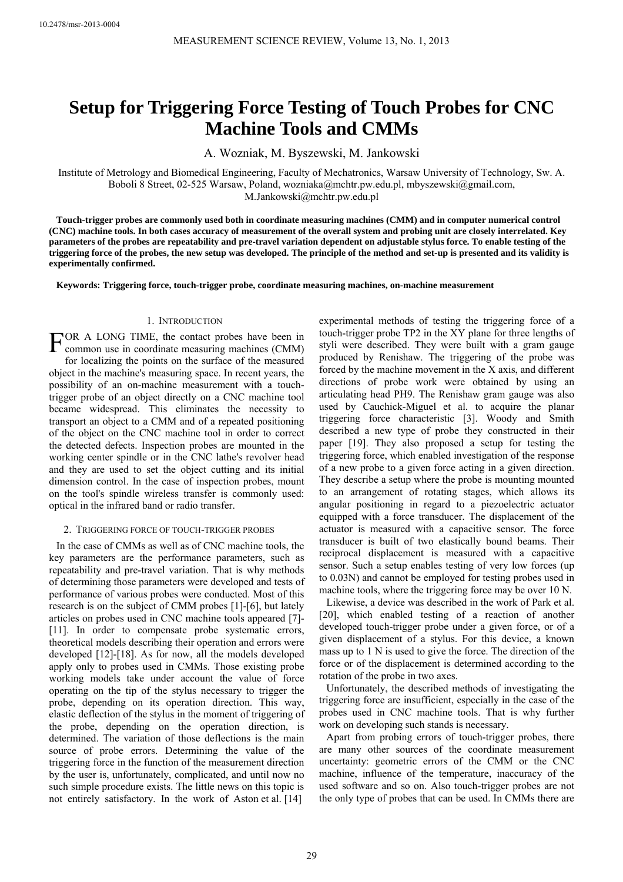# **Setup for Triggering Force Testing of Touch Probes for CNC Machine Tools and CMMs**

A. Wozniak, M. Byszewski, M. Jankowski

Institute of Metrology and Biomedical Engineering, Faculty of Mechatronics, Warsaw University of Technology, Sw. A. Boboli 8 Street, 02-525 Warsaw, Poland, wozniaka@mchtr.pw.edu.pl, mbyszewski@gmail.com, M.Jankowski@mchtr.pw.edu.pl

**Touch-trigger probes are commonly used both in coordinate measuring machines (CMM) and in computer numerical control (CNC) machine tools. In both cases accuracy of measurement of the overall system and probing unit are closely interrelated. Key parameters of the probes are repeatability and pre-travel variation dependent on adjustable stylus force. To enable testing of the triggering force of the probes, the new setup was developed. The principle of the method and set-up is presented and its validity is experimentally confirmed.**

**Keywords: Triggering force, touch-trigger probe, coordinate measuring machines, on-machine measurement** 

## 1. INTRODUCTION

FOR A LONG TIME, the contact probes have been in common use in coordinate measuring machines (CMM) common use in coordinate measuring machines (CMM) for localizing the points on the surface of the measured object in the machine's measuring space. In recent years, the possibility of an on-machine measurement with a touchtrigger probe of an object directly on a CNC machine tool became widespread. This eliminates the necessity to transport an object to a CMM and of a repeated positioning of the object on the CNC machine tool in order to correct the detected defects. Inspection probes are mounted in the working center spindle or in the CNC lathe's revolver head and they are used to set the object cutting and its initial dimension control. In the case of inspection probes, mount on the tool's spindle wireless transfer is commonly used: optical in the infrared band or radio transfer.

### 2. TRIGGERING FORCE OF TOUCH-TRIGGER PROBES

In the case of CMMs as well as of CNC machine tools, the key parameters are the performance parameters, such as repeatability and pre-travel variation. That is why methods of determining those parameters were developed and tests of performance of various probes were conducted. Most of this research is on the subject of CMM probes [1]-[6], but lately articles on probes used in CNC machine tools appeared [7]- [11]. In order to compensate probe systematic errors, theoretical models describing their operation and errors were developed [12]-[18]. As for now, all the models developed apply only to probes used in CMMs. Those existing probe working models take under account the value of force operating on the tip of the stylus necessary to trigger the probe, depending on its operation direction. This way, elastic deflection of the stylus in the moment of triggering of the probe, depending on the operation direction, is determined. The variation of those deflections is the main source of probe errors. Determining the value of the triggering force in the function of the measurement direction by the user is, unfortunately, complicated, and until now no such simple procedure exists. The little news on this topic is not entirely satisfactory. In the work of Aston et al. [14]

experimental methods of testing the triggering force of a touch-trigger probe TP2 in the XY plane for three lengths of styli were described. They were built with a gram gauge produced by Renishaw. The triggering of the probe was forced by the machine movement in the X axis, and different directions of probe work were obtained by using an articulating head PH9. The Renishaw gram gauge was also used by Cauchick-Miguel et al. to acquire the planar triggering force characteristic [3]. Woody and Smith described a new type of probe they constructed in their paper [19]. They also proposed a setup for testing the triggering force, which enabled investigation of the response of a new probe to a given force acting in a given direction. They describe a setup where the probe is mounting mounted to an arrangement of rotating stages, which allows its angular positioning in regard to a piezoelectric actuator equipped with a force transducer. The displacement of the actuator is measured with a capacitive sensor. The force transducer is built of two elastically bound beams. Their reciprocal displacement is measured with a capacitive sensor. Such a setup enables testing of very low forces (up to 0.03N) and cannot be employed for testing probes used in machine tools, where the triggering force may be over 10 N.

Likewise, a device was described in the work of Park et al. [20], which enabled testing of a reaction of another developed touch-trigger probe under a given force, or of a given displacement of a stylus. For this device, a known mass up to 1 N is used to give the force. The direction of the force or of the displacement is determined according to the rotation of the probe in two axes.

Unfortunately, the described methods of investigating the triggering force are insufficient, especially in the case of the probes used in CNC machine tools. That is why further work on developing such stands is necessary.

Apart from probing errors of touch-trigger probes, there are many other sources of the coordinate measurement uncertainty: geometric errors of the CMM or the CNC machine, influence of the temperature, inaccuracy of the used software and so on. Also touch-trigger probes are not the only type of probes that can be used. In CMMs there are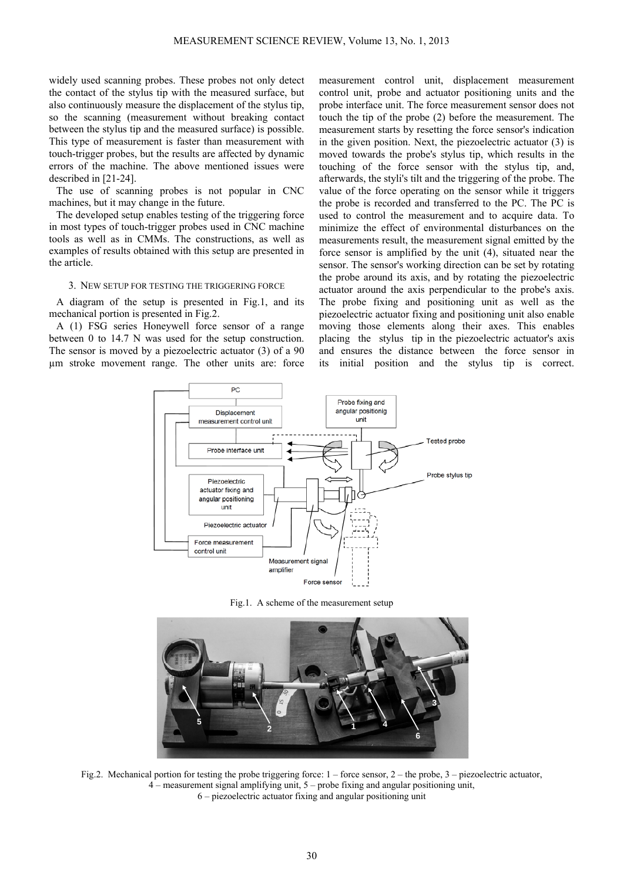widely used scanning probes. These probes not only detect the contact of the stylus tip with the measured surface, but also continuously measure the displacement of the stylus tip, so the scanning (measurement without breaking contact between the stylus tip and the measured surface) is possible. This type of measurement is faster than measurement with touch-trigger probes, but the results are affected by dynamic errors of the machine. The above mentioned issues were described in [21-24].

The use of scanning probes is not popular in CNC machines, but it may change in the future.

The developed setup enables testing of the triggering force in most types of touch-trigger probes used in CNC machine tools as well as in CMMs. The constructions, as well as examples of results obtained with this setup are presented in the article.

#### 3. NEW SETUP FOR TESTING THE TRIGGERING FORCE

A diagram of the setup is presented in Fig.1, and its mechanical portion is presented in Fig.2.

A (1) FSG series Honeywell force sensor of a range between 0 to 14.7 N was used for the setup construction. The sensor is moved by a piezoelectric actuator (3) of a 90 µm stroke movement range. The other units are: force measurement control unit, displacement measurement control unit, probe and actuator positioning units and the probe interface unit. The force measurement sensor does not touch the tip of the probe (2) before the measurement. The measurement starts by resetting the force sensor's indication in the given position. Next, the piezoelectric actuator (3) is moved towards the probe's stylus tip, which results in the touching of the force sensor with the stylus tip, and, afterwards, the styli's tilt and the triggering of the probe. The value of the force operating on the sensor while it triggers the probe is recorded and transferred to the PC. The PC is used to control the measurement and to acquire data. To minimize the effect of environmental disturbances on the measurements result, the measurement signal emitted by the force sensor is amplified by the unit (4), situated near the sensor. The sensor's working direction can be set by rotating the probe around its axis, and by rotating the piezoelectric actuator around the axis perpendicular to the probe's axis. The probe fixing and positioning unit as well as the piezoelectric actuator fixing and positioning unit also enable moving those elements along their axes. This enables placing the stylus tip in the piezoelectric actuator's axis and ensures the distance between the force sensor in its initial position and the stylus tip is correct.



Fig.1. A scheme of the measurement setup



Fig.2. Mechanical portion for testing the probe triggering force:  $1 -$  force sensor,  $2 -$  the probe,  $3 -$  piezoelectric actuator, 4 – measurement signal amplifying unit, 5 – probe fixing and angular positioning unit, 6 – piezoelectric actuator fixing and angular positioning unit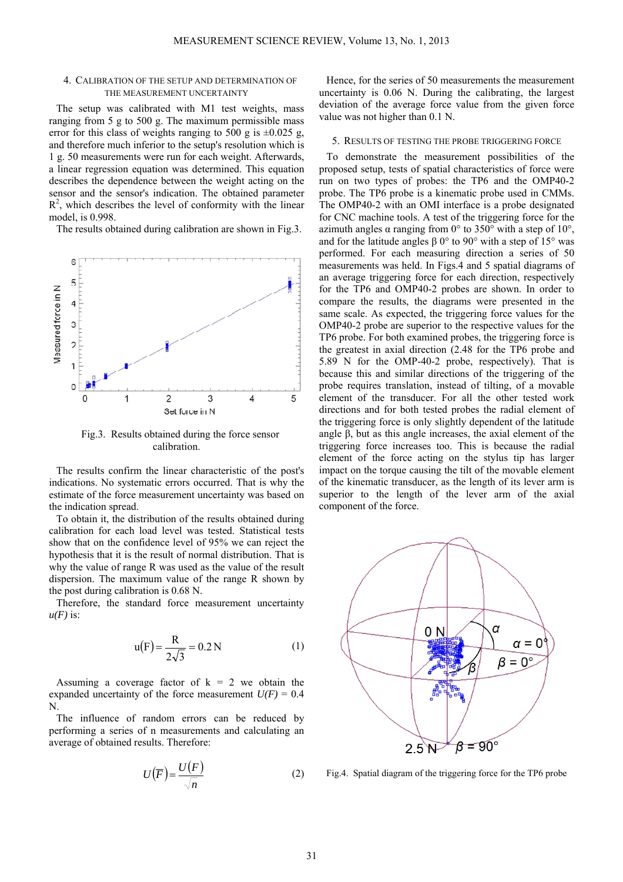### 4. CALIBRATION OF THE SETUP AND DETERMINATION OF THE MEASUREMENT UNCERTAINTY

The setup was calibrated with M1 test weights, mass ranging from 5 g to 500 g. The maximum permissible mass error for this class of weights ranging to 500 g is  $\pm 0.025$  g, and therefore much inferior to the setup's resolution which is 1 g. 50 measurements were run for each weight. Afterwards, a linear regression equation was determined. This equation describes the dependence between the weight acting on the sensor and the sensor's indication. The obtained parameter  $R<sup>2</sup>$ , which describes the level of conformity with the linear model, is 0.998.

The results obtained during calibration are shown in Fig.3.



Fig.3. Results obtained during the force sensor calibration.

The results confirm the linear characteristic of the post's indications. No systematic errors occurred. That is why the estimate of the force measurement uncertainty was based on the indication spread.

To obtain it, the distribution of the results obtained during calibration for each load level was tested. Statistical tests show that on the confidence level of 95% we can reject the hypothesis that it is the result of normal distribution. That is why the value of range R was used as the value of the result dispersion. The maximum value of the range R shown by the post during calibration is 0.68 N.

Therefore, the standard force measurement uncertainty  $u(F)$  is:

$$
u(F) = \frac{R}{2\sqrt{3}} = 0.2 N
$$
 (1)

Assuming a coverage factor of  $k = 2$  we obtain the expanded uncertainty of the force measurement  $U(F) = 0.4$ N.

The influence of random errors can be reduced by performing a series of n measurements and calculating an average of obtained results. Therefore:

$$
U(\overline{F}) = \frac{U(F)}{\sqrt{n}}\tag{2}
$$

Hence, for the series of 50 measurements the measurement uncertainty is 0.06 N. During the calibrating, the largest deviation of the average force value from the given force value was not higher than 0.1 N.

#### 5. RESULTS OF TESTING THE PROBE TRIGGERING FORCE

To demonstrate the measurement possibilities of the proposed setup, tests of spatial characteristics of force were run on two types of probes: the TP6 and the OMP40-2 probe. The TP6 probe is a kinematic probe used in CMMs. The OMP40-2 with an OMI interface is a probe designated for CNC machine tools. A test of the triggering force for the azimuth angles α ranging from  $0^\circ$  to 350° with a step of 10°, and for the latitude angles  $\beta$  0° to 90° with a step of 15° was performed. For each measuring direction a series of 50 measurements was held. In Figs.4 and 5 spatial diagrams of an average triggering force for each direction, respectively for the TP6 and OMP40-2 probes are shown. In order to compare the results, the diagrams were presented in the same scale. As expected, the triggering force values for the OMP40-2 probe are superior to the respective values for the TP6 probe. For both examined probes, the triggering force is the greatest in axial direction (2.48 for the TP6 probe and 5.89 N for the OMP-40-2 probe, respectively). That is because this and similar directions of the triggering of the probe requires translation, instead of tilting, of a movable element of the transducer. For all the other tested work directions and for both tested probes the radial element of the triggering force is only slightly dependent of the latitude angle β, but as this angle increases, the axial element of the triggering force increases too. This is because the radial element of the force acting on the stylus tip has larger impact on the torque causing the tilt of the movable element of the kinematic transducer, as the length of its lever arm is superior to the length of the lever arm of the axial component of the force.



Fig.4. Spatial diagram of the triggering force for the TP6 probe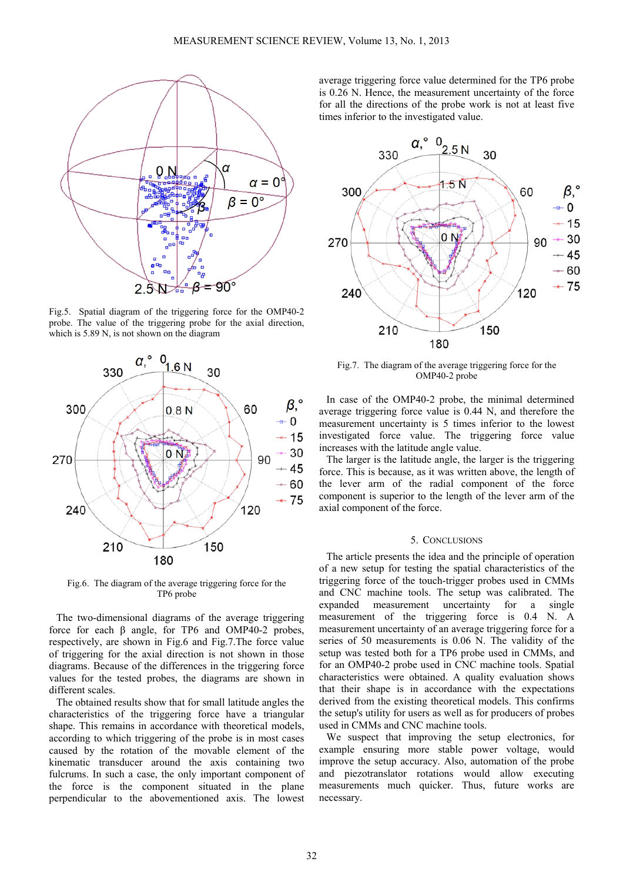

Fig.5. Spatial diagram of the triggering force for the OMP40-2 probe. The value of the triggering probe for the axial direction, which is 5.89 N, is not shown on the diagram



Fig.6. The diagram of the average triggering force for the TP6 probe

The two-dimensional diagrams of the average triggering force for each β angle, for TP6 and OMP40-2 probes, respectively, are shown in Fig.6 and Fig.7.The force value of triggering for the axial direction is not shown in those diagrams. Because of the differences in the triggering force values for the tested probes, the diagrams are shown in different scales.

The obtained results show that for small latitude angles the characteristics of the triggering force have a triangular shape. This remains in accordance with theoretical models, according to which triggering of the probe is in most cases caused by the rotation of the movable element of the kinematic transducer around the axis containing two fulcrums. In such a case, the only important component of the force is the component situated in the plane perpendicular to the abovementioned axis. The lowest

average triggering force value determined for the TP6 probe is 0.26 N. Hence, the measurement uncertainty of the force for all the directions of the probe work is not at least five times inferior to the investigated value.



Fig.7. The diagram of the average triggering force for the OMP40-2 probe

In case of the OMP40-2 probe, the minimal determined average triggering force value is 0.44 N, and therefore the measurement uncertainty is 5 times inferior to the lowest investigated force value. The triggering force value increases with the latitude angle value.

The larger is the latitude angle, the larger is the triggering force. This is because, as it was written above, the length of the lever arm of the radial component of the force component is superior to the length of the lever arm of the axial component of the force.

#### 5. CONCLUSIONS

The article presents the idea and the principle of operation of a new setup for testing the spatial characteristics of the triggering force of the touch-trigger probes used in CMMs and CNC machine tools. The setup was calibrated. The expanded measurement uncertainty for a single measurement of the triggering force is 0.4 N. A measurement uncertainty of an average triggering force for a series of 50 measurements is 0.06 N. The validity of the setup was tested both for a TP6 probe used in CMMs, and for an OMP40-2 probe used in CNC machine tools. Spatial characteristics were obtained. A quality evaluation shows that their shape is in accordance with the expectations derived from the existing theoretical models. This confirms the setup's utility for users as well as for producers of probes used in CMMs and CNC machine tools.

We suspect that improving the setup electronics, for example ensuring more stable power voltage, would improve the setup accuracy. Also, automation of the probe and piezotranslator rotations would allow executing measurements much quicker. Thus, future works are necessary.